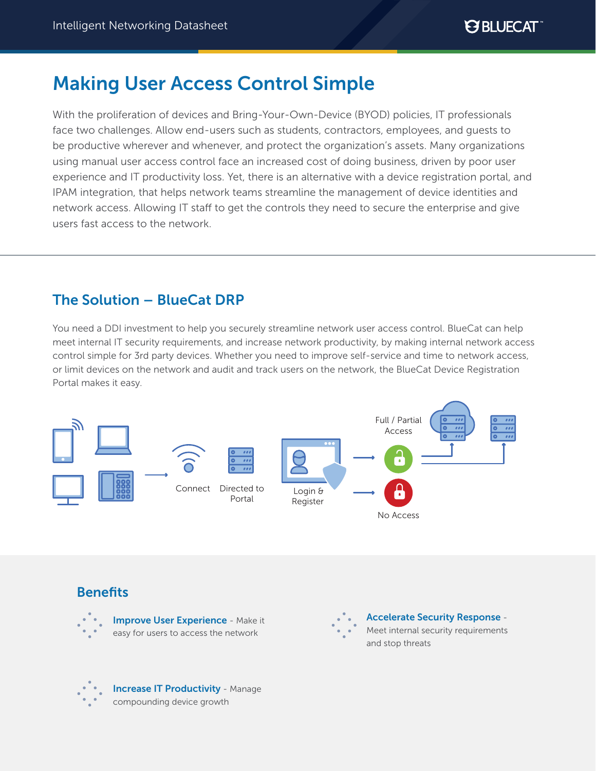# Making User Access Control Simple

With the proliferation of devices and Bring-Your-Own-Device (BYOD) policies, IT professionals face two challenges. Allow end-users such as students, contractors, employees, and guests to be productive wherever and whenever, and protect the organization's assets. Many organizations using manual user access control face an increased cost of doing business, driven by poor user experience and IT productivity loss. Yet, there is an alternative with a device registration portal, and IPAM integration, that helps network teams streamline the management of device identities and network access. Allowing IT staff to get the controls they need to secure the enterprise and give users fast access to the network.

# The Solution – BlueCat DRP

You need a DDI investment to help you securely streamline network user access control. BlueCat can help meet internal IT security requirements, and increase network productivity, by making internal network access control simple for 3rd party devices. Whether you need to improve self-service and time to network access, or limit devices on the network and audit and track users on the network, the BlueCat Device Registration Portal makes it easy.



# **Benefits**





Accelerate Security Response - Meet internal security requirements and stop threats



Increase IT Productivity - Manage compounding device growth